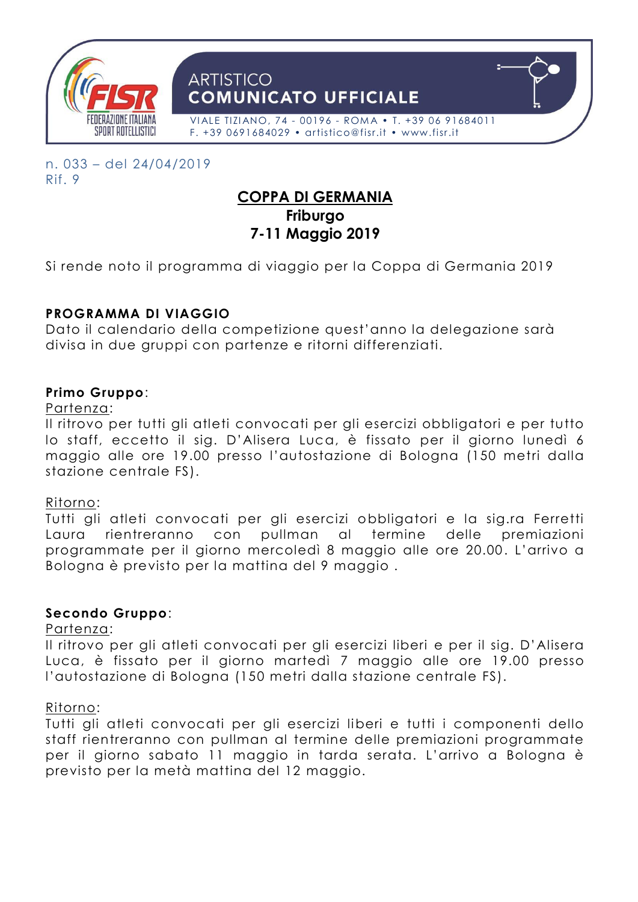

n. 033 – del 24/04/2019 Rif. 9

# **COPPA DI GERMANIA Friburgo 7-11 Maggio 2019**

Si rende noto il programma di viaggio per la Coppa di Germania 2019

# **PROGRAMMA DI VIAGGIO**

Dato il calendario della competizione quest'anno la delegazione sarà divisa in due gruppi con partenze e ritorni differenziati.

### **Primo Gruppo**:

#### Partenza:

Il ritrovo per tutti gli atleti convocati per gli esercizi obbligatori e per tutto lo staff, eccetto il sig. D'Alisera Luca, è fissato per il giorno lunedì 6 maggio alle ore 19.00 presso l'autostazione di Bologna (150 metri dalla stazione centrale FS).

#### Ritorno:

Tutti gli atleti convocati per gli esercizi obbligatori e la sig.ra Ferretti Laura rientreranno con pullman al termine delle premiazioni programmate per il giorno mercoledì 8 maggio alle ore 20.00 . L'arrivo a Bologna è previsto per la mattina del 9 maggio .

#### **Secondo Gruppo**:

#### Partenza:

Il ritrovo per gli atleti convocati per gli esercizi liberi e per il sig. D'Alisera Luca, è fissato per il giorno martedì 7 maggio alle ore 19.00 presso l'autostazione di Bologna (150 metri dalla stazione centrale FS).

#### Ritorno:

Tutti gli atleti convocati per gli esercizi liberi e tutti i componenti dello staff rientreranno con pullman al termine delle premiazioni programmate per il giorno sabato 11 maggio in tarda serata. L'arrivo a Bologna è previsto per la metà mattina del 12 maggio.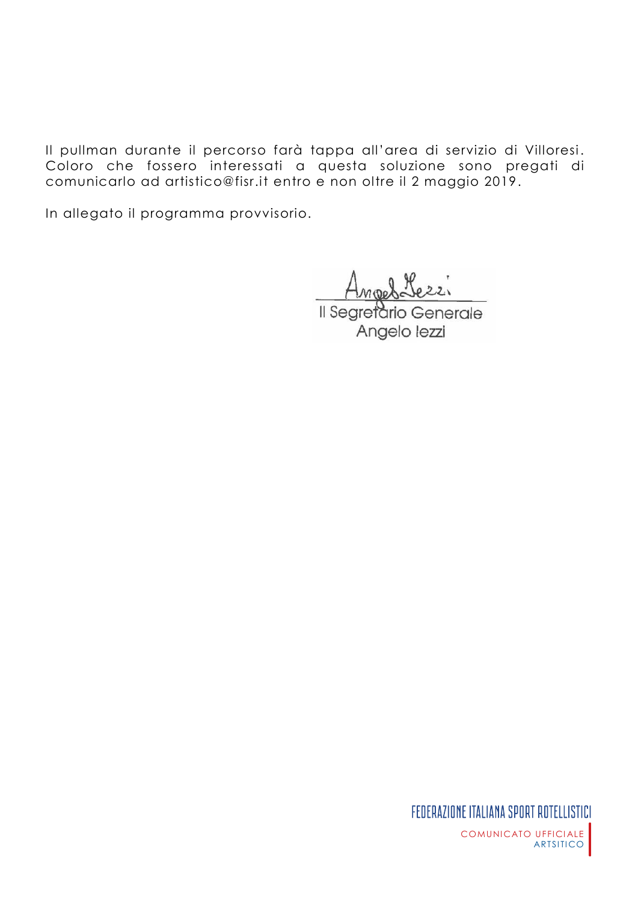Il pullman durante il percorso farà tappa all'area di servizio di Villoresi. Coloro che fossero interessati a questa soluzione sono pregati di comunicarlo ad artistico@fisr.it entro e non oltre il 2 maggio 2019.

In allegato il programma provvisorio.

Ange Il Segretario Generale

Angelo lezzi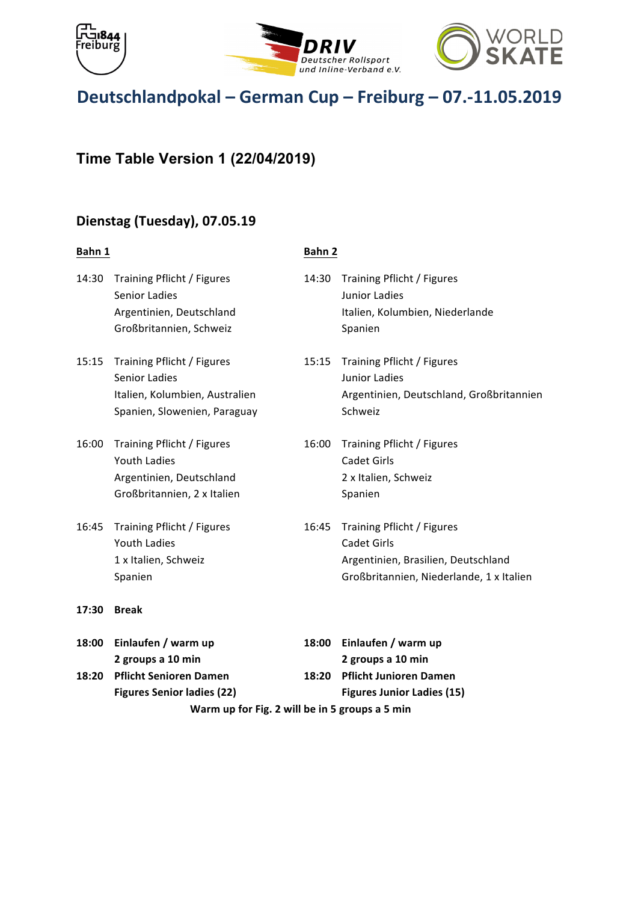





# **Time Table Version 1 (22/04/2019)**

## **Dienstag (Tuesday), 07.05.19**

#### **Bahn 1 Bahn 2**

14:30 Training Pflicht / Figures 14:30 Training Pflicht / Figures Senior Ladies **Business Communist Communist Communist Communist Communist Communist Communist Communist Communist Communist Communist Communist Communist Communist Communist Communist Communist Communist Communist Communis** Argentinien, Deutschland **National Exercise Etalien**, Kolumbien, Niederlande Großbritannien, Schweiz **Brandbritannien**, Schweiz 15:15 Training Pflicht / Figures 15:15 Training Pflicht / Figures Senior Ladies **Manual Community** Senior Ladies Italien, Kolumbien, Australien **Manuel Argentinien, Deutschland, Großbritannien** Spanien, Slowenien, Paraguay **Bandary Schweiz** 16:00 Training Pflicht / Figures 16:00 Training Pflicht / Figures **Youth Ladies** Cadet Girls Argentinien, Deutschland 2 x Italien, Schweiz Großbritannien, 2 x Italien **Spanien** Spanien 16:45 Training Pflicht / Figures 16:45 Training Pflicht / Figures Youth Ladies **Cadet Girls** Cadet Girls 1 x Italien, Schweiz **Mateur and Argentinien**, Brasilien, Deutschland Spanien **Brandell Communist Communist Communist Communist Communist Communist Communist Communist Communist Communist Communist Communist Communist Communist Communist Communist Communist Communist Communist Communist Comm 17:30 Break 18:00** Einlaufen / warm up **18:00** Einlaufen / warm up

|       | Warm up for Fig. 2 will be in 5 groups a 5 min |       |                                   |  |  |  |
|-------|------------------------------------------------|-------|-----------------------------------|--|--|--|
|       | <b>Figures Senior ladies (22)</b>              |       | <b>Figures Junior Ladies (15)</b> |  |  |  |
| 18:20 | <b>Pflicht Senioren Damen</b>                  | 18:20 | <b>Pflicht Junioren Damen</b>     |  |  |  |
|       | 2 groups a 10 min                              |       | 2 groups a 10 min                 |  |  |  |
|       |                                                |       |                                   |  |  |  |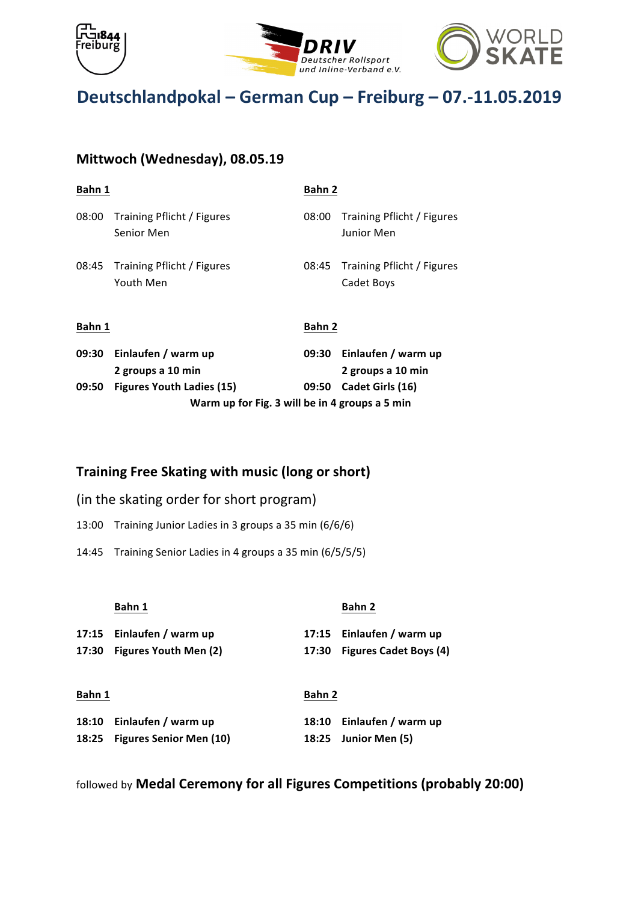





# **Mittwoch (Wednesday), 08.05.19**

| Bahn 1                                         |                                          | Bahn 2 |                                          |
|------------------------------------------------|------------------------------------------|--------|------------------------------------------|
| 08:00                                          | Training Pflicht / Figures<br>Senior Men | 08:00  | Training Pflicht / Figures<br>Junior Men |
| 08:45                                          | Training Pflicht / Figures<br>Youth Men  | 08:45  | Training Pflicht / Figures<br>Cadet Boys |
| Bahn 1                                         |                                          | Bahn 2 |                                          |
| 09:30                                          | Einlaufen / warm up<br>2 groups a 10 min | 09:30  | Einlaufen / warm up<br>2 groups a 10 min |
| 09:50                                          | <b>Figures Youth Ladies (15)</b>         | 09:50  | Cadet Girls (16)                         |
| Warm up for Fig. 3 will be in 4 groups a 5 min |                                          |        |                                          |

### **Training Free Skating with music (long or short)**

- (in the skating order for short program)
- 13:00 Training Junior Ladies in 3 groups a 35 min (6/6/6)
- 14:45 Training Senior Ladies in 4 groups a 35 min (6/5/5/5)

|        | Bahn 1                      |        | Bahn 2                       |
|--------|-----------------------------|--------|------------------------------|
|        | 17:15 Einlaufen / warm up   |        | 17:15 Einlaufen / warm up    |
|        | 17:30 Figures Youth Men (2) |        | 17:30 Figures Cadet Boys (4) |
|        |                             |        |                              |
| Bahn 1 |                             | Bahn 2 |                              |
|        |                             |        |                              |

| 18:10 Einlaufen / warm up     | 18:10 Einlaufen / warm up |
|-------------------------------|---------------------------|
| 18:25 Figures Senior Men (10) | 18:25 Junior Men (5)      |

followed by **Medal Ceremony for all Figures Competitions (probably 20:00)**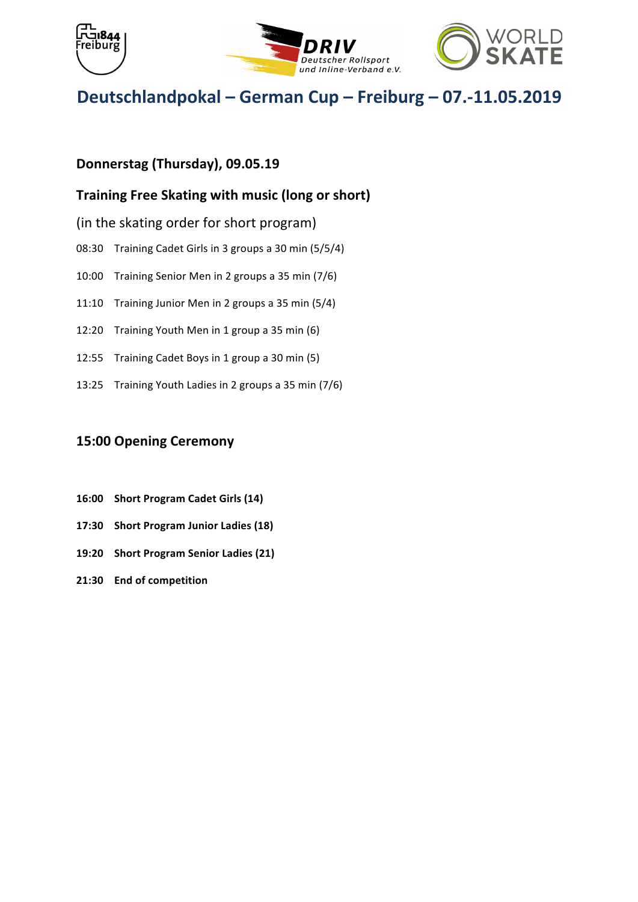





# Donnerstag (Thursday), 09.05.19

## **Training Free Skating with music (long or short)**

- (in the skating order for short program)
- 08:30 Training Cadet Girls in 3 groups a 30 min (5/5/4)
- 10:00 Training Senior Men in 2 groups a 35 min (7/6)
- 11:10 Training Junior Men in 2 groups a 35 min  $(5/4)$
- 12:20 Training Youth Men in 1 group a 35 min (6)
- 12:55 Training Cadet Boys in 1 group a 30 min (5)
- 13:25 Training Youth Ladies in 2 groups a 35 min (7/6)

## **15:00 Opening Ceremony**

- **16:00 Short Program Cadet Girls (14)**
- **17:30** Short Program Junior Ladies (18)
- **19:20** Short Program Senior Ladies (21)
- **21:30 End of competition**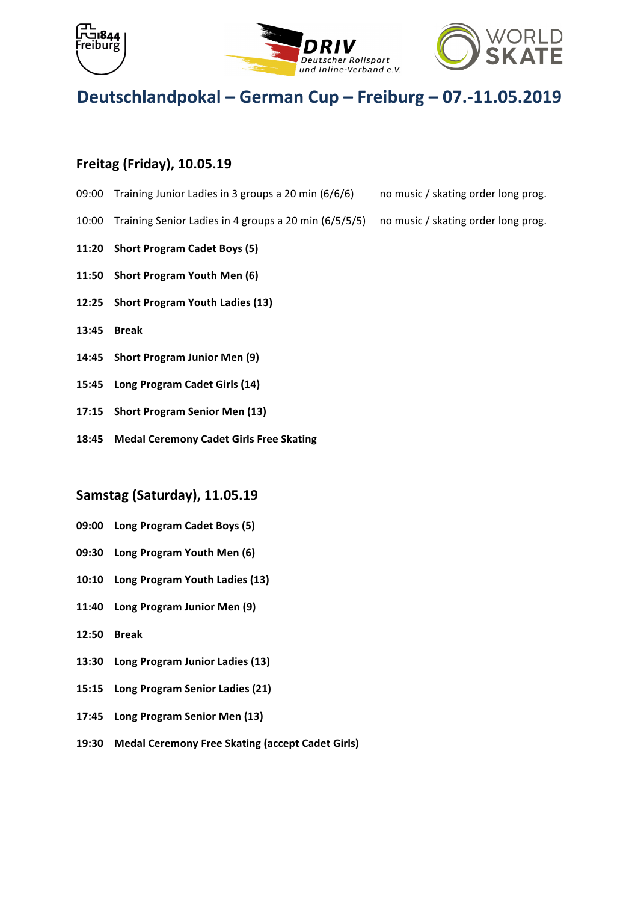





## **Freitag (Friday), 10.05.19**

- 09:00 Training Junior Ladies in 3 groups a 20 min  $(6/6/6)$  no music / skating order long prog.
- 10:00 Training Senior Ladies in 4 groups a 20 min (6/5/5/5) no music / skating order long prog.
- **11:20 Short Program Cadet Boys (5)**
- **11:50** Short Program Youth Men (6)
- 12:25 Short Program Youth Ladies (13)
- **13:45 Break**
- 14:45 Short Program Junior Men (9)
- 15:45 Long Program Cadet Girls (14)
- **17:15** Short Program Senior Men (13)
- **18:45 Medal Ceremony Cadet Girls Free Skating**

### **Samstag (Saturday), 11.05.19**

- **09:00 Long Program Cadet Boys (5)**
- **09:30** Long Program Youth Men (6)
- 10:10 Long Program Youth Ladies (13)
- **11:40 Long Program Junior Men (9)**
- **12:50 Break**
- 13:30 Long Program Junior Ladies (13)
- 15:15 Long Program Senior Ladies (21)
- 17:45 Long Program Senior Men (13)
- **19:30 Medal Ceremony Free Skating (accept Cadet Girls)**